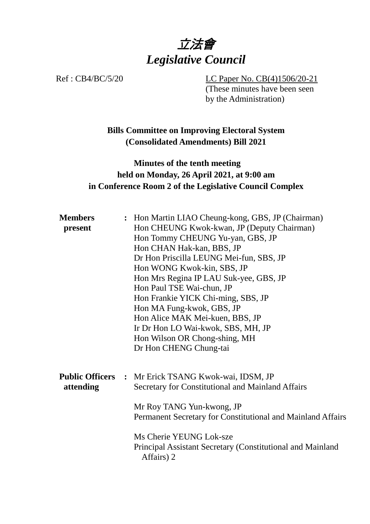# 立法會 *Legislative Council*

Ref : CB4/BC/5/20 LC Paper No. CB(4)1506/20-21 (These minutes have been seen by the Administration)

## **Bills Committee on Improving Electoral System (Consolidated Amendments) Bill 2021**

## **Minutes of the tenth meeting held on Monday, 26 April 2021, at 9:00 am in Conference Room 2 of the Legislative Council Complex**

| <b>Members</b><br>present           |  | : Hon Martin LIAO Cheung-kong, GBS, JP (Chairman)<br>Hon CHEUNG Kwok-kwan, JP (Deputy Chairman)<br>Hon Tommy CHEUNG Yu-yan, GBS, JP<br>Hon CHAN Hak-kan, BBS, JP<br>Dr Hon Priscilla LEUNG Mei-fun, SBS, JP<br>Hon WONG Kwok-kin, SBS, JP<br>Hon Mrs Regina IP LAU Suk-yee, GBS, JP<br>Hon Paul TSE Wai-chun, JP<br>Hon Frankie YICK Chi-ming, SBS, JP<br>Hon MA Fung-kwok, GBS, JP<br>Hon Alice MAK Mei-kuen, BBS, JP<br>Ir Dr Hon LO Wai-kwok, SBS, MH, JP<br>Hon Wilson OR Chong-shing, MH<br>Dr Hon CHENG Chung-tai |
|-------------------------------------|--|-------------------------------------------------------------------------------------------------------------------------------------------------------------------------------------------------------------------------------------------------------------------------------------------------------------------------------------------------------------------------------------------------------------------------------------------------------------------------------------------------------------------------|
| <b>Public Officers</b><br>attending |  | : Mr Erick TSANG Kwok-wai, IDSM, JP<br>Secretary for Constitutional and Mainland Affairs<br>Mr Roy TANG Yun-kwong, JP<br>Permanent Secretary for Constitutional and Mainland Affairs<br>Ms Cherie YEUNG Lok-sze<br>Principal Assistant Secretary (Constitutional and Mainland<br>Affairs) 2                                                                                                                                                                                                                             |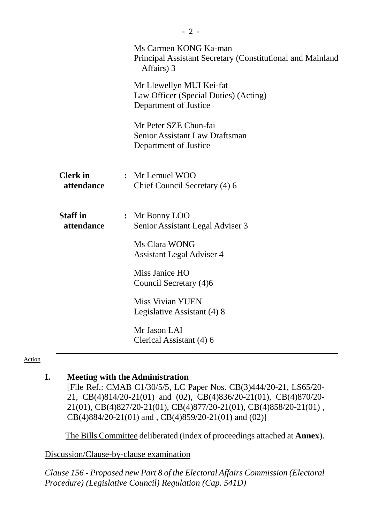| Ms Carmen KONG Ka-man<br>Principal Assistant Secretary (Constitutional and Mainland<br>Affairs) 3 |
|---------------------------------------------------------------------------------------------------|
| Mr Llewellyn MUI Kei-fat<br>Law Officer (Special Duties) (Acting)<br>Department of Justice        |
| Mr Peter SZE Chun-fai<br><b>Senior Assistant Law Draftsman</b><br>Department of Justice           |
| : Mr Lemuel WOO<br>Chief Council Secretary (4) 6                                                  |
| : Mr Bonny LOO<br>Senior Assistant Legal Adviser 3                                                |
| Ms Clara WONG<br><b>Assistant Legal Adviser 4</b>                                                 |
| Miss Janice HO<br>Council Secretary (4)6                                                          |
| <b>Miss Vivian YUEN</b><br>Legislative Assistant (4) 8                                            |
| Mr Jason LAI<br>Clerical Assistant (4) 6                                                          |
|                                                                                                   |

#### Action

#### **I. Meeting with the Administration**

[File Ref.: CMAB C1/30/5/5, LC Paper Nos. CB(3)444/20-21, LS65/20- 21, CB(4)814/20-21(01) and (02), CB(4)836/20-21(01), CB(4)870/20- 21(01), CB(4)827/20-21(01), CB(4)877/20-21(01), CB(4)858/20-21(01) , CB(4)884/20-21(01) and , CB(4)859/20-21(01) and (02)]

1. The Bills Committee deliberated (index of proceedings attached at **Annex**).

Discussion/Clause-by-clause examination

*Clause 156 - Proposed new Part 8 of the Electoral Affairs Commission (Electoral Procedure) (Legislative Council) Regulation (Cap. 541D)*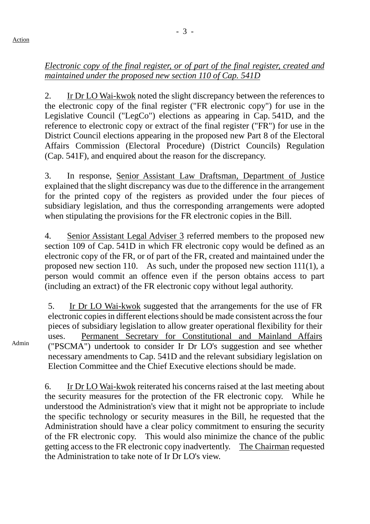## *Electronic copy of the final register, or of part of the final register, created and maintained under the proposed new section 110 of Cap. 541D*

2. Ir Dr LO Wai-kwok noted the slight discrepancy between the references to the electronic copy of the final register ("FR electronic copy") for use in the Legislative Council ("LegCo") elections as appearing in Cap. 541D, and the reference to electronic copy or extract of the final register ("FR") for use in the District Council elections appearing in the proposed new Part 8 of the Electoral Affairs Commission (Electoral Procedure) (District Councils) Regulation (Cap. 541F), and enquired about the reason for the discrepancy.

3. In response, Senior Assistant Law Draftsman, Department of Justice explained that the slight discrepancy was due to the difference in the arrangement for the printed copy of the registers as provided under the four pieces of subsidiary legislation, and thus the corresponding arrangements were adopted when stipulating the provisions for the FR electronic copies in the Bill.

4. Senior Assistant Legal Adviser 3 referred members to the proposed new section 109 of Cap. 541D in which FR electronic copy would be defined as an electronic copy of the FR, or of part of the FR, created and maintained under the proposed new section 110. As such, under the proposed new section 111(1), a person would commit an offence even if the person obtains access to part (including an extract) of the FR electronic copy without legal authority.

5. Ir Dr LO Wai-kwok suggested that the arrangements for the use of FR electronic copies in different elections should be made consistent across the four pieces of subsidiary legislation to allow greater operational flexibility for their uses. Permanent Secretary for Constitutional and Mainland Affairs ("PSCMA") undertook to consider Ir Dr LO's suggestion and see whether necessary amendments to Cap. 541D and the relevant subsidiary legislation on Election Committee and the Chief Executive elections should be made.

6. Ir Dr LO Wai-kwok reiterated his concerns raised at the last meeting about the security measures for the protection of the FR electronic copy. While he understood the Administration's view that it might not be appropriate to include the specific technology or security measures in the Bill, he requested that the Administration should have a clear policy commitment to ensuring the security of the FR electronic copy. This would also minimize the chance of the public getting access to the FR electronic copy inadvertently. The Chairman requested the Administration to take note of Ir Dr LO's view.

Admin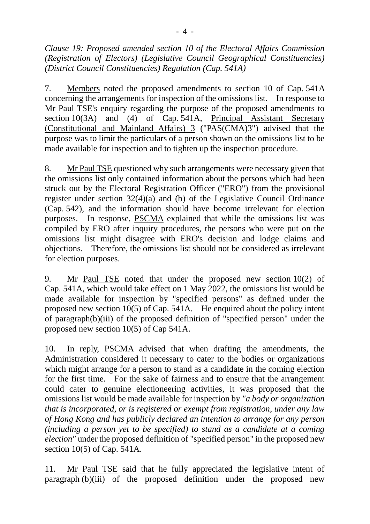*Clause 19: Proposed amended section 10 of the Electoral Affairs Commission (Registration of Electors) (Legislative Council Geographical Constituencies) (District Council Constituencies) Regulation (Cap. 541A)*

7. Members noted the proposed amendments to section 10 of Cap. 541A concerning the arrangements for inspection of the omissions list. In response to Mr Paul TSE's enquiry regarding the purpose of the proposed amendments to section 10(3A) and (4) of Cap. 541A, Principal Assistant Secretary (Constitutional and Mainland Affairs) 3 ("PAS(CMA)3") advised that the purpose was to limit the particulars of a person shown on the omissions list to be made available for inspection and to tighten up the inspection procedure.

8. Mr Paul TSE questioned why such arrangements were necessary given that the omissions list only contained information about the persons which had been struck out by the Electoral Registration Officer ("ERO") from the provisional register under section 32(4)(a) and (b) of the Legislative Council Ordinance (Cap. 542), and the information should have become irrelevant for election purposes. In response, PSCMA explained that while the omissions list was compiled by ERO after inquiry procedures, the persons who were put on the omissions list might disagree with ERO's decision and lodge claims and objections. Therefore, the omissions list should not be considered as irrelevant for election purposes.

9. Mr Paul TSE noted that under the proposed new section 10(2) of Cap. 541A, which would take effect on 1 May 2022, the omissions list would be made available for inspection by "specified persons" as defined under the proposed new section 10(5) of Cap. 541A. He enquired about the policy intent of paragraph(b)(iii) of the proposed definition of "specified person" under the proposed new section 10(5) of Cap 541A.

10. In reply, PSCMA advised that when drafting the amendments, the Administration considered it necessary to cater to the bodies or organizations which might arrange for a person to stand as a candidate in the coming election for the first time. For the sake of fairness and to ensure that the arrangement could cater to genuine electioneering activities, it was proposed that the omissions list would be made available for inspection by *"a body or organization that is incorporated, or is registered or exempt from registration, under any law of Hong Kong and has publicly declared an intention to arrange for any person (including a person yet to be specified) to stand as a candidate at a coming election"* under the proposed definition of "specified person" in the proposed new section 10(5) of Cap. 541A.

11. Mr Paul TSE said that he fully appreciated the legislative intent of paragraph (b)(iii) of the proposed definition under the proposed new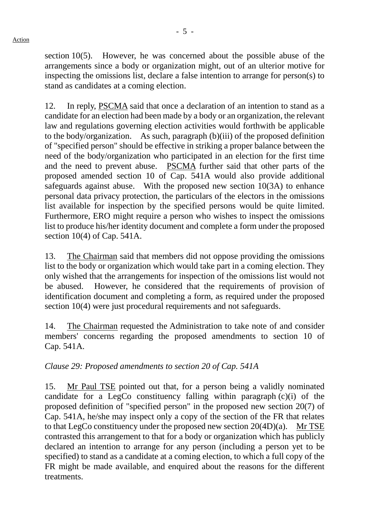- 5 -

section 10(5). However, he was concerned about the possible abuse of the arrangements since a body or organization might, out of an ulterior motive for inspecting the omissions list, declare a false intention to arrange for person(s) to stand as candidates at a coming election.

12. In reply, PSCMA said that once a declaration of an intention to stand as a candidate for an election had been made by a body or an organization, the relevant law and regulations governing election activities would forthwith be applicable to the body/organization. As such, paragraph (b)(iii) of the proposed definition of "specified person" should be effective in striking a proper balance between the need of the body/organization who participated in an election for the first time and the need to prevent abuse. PSCMA further said that other parts of the proposed amended section 10 of Cap. 541A would also provide additional safeguards against abuse. With the proposed new section 10(3A) to enhance personal data privacy protection, the particulars of the electors in the omissions list available for inspection by the specified persons would be quite limited. Furthermore, ERO might require a person who wishes to inspect the omissions list to produce his/her identity document and complete a form under the proposed section 10(4) of Cap. 541A.

13. The Chairman said that members did not oppose providing the omissions list to the body or organization which would take part in a coming election. They only wished that the arrangements for inspection of the omissions list would not be abused. However, he considered that the requirements of provision of identification document and completing a form, as required under the proposed section 10(4) were just procedural requirements and not safeguards.

14. The Chairman requested the Administration to take note of and consider members' concerns regarding the proposed amendments to section 10 of Cap. 541A.

## *Clause 29: Proposed amendments to section 20 of Cap. 541A*

15. Mr Paul TSE pointed out that, for a person being a validly nominated candidate for a LegCo constituency falling within paragraph (c)(i) of the proposed definition of "specified person" in the proposed new section 20(7) of Cap. 541A, he/she may inspect only a copy of the section of the FR that relates to that LegCo constituency under the proposed new section 20(4D)(a). Mr TSE contrasted this arrangement to that for a body or organization which has publicly declared an intention to arrange for any person (including a person yet to be specified) to stand as a candidate at a coming election, to which a full copy of the FR might be made available, and enquired about the reasons for the different treatments.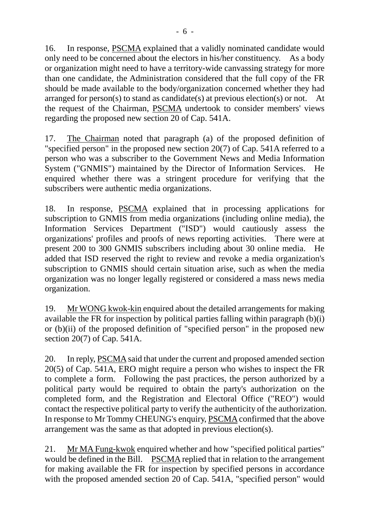16. In response, PSCMA explained that a validly nominated candidate would only need to be concerned about the electors in his/her constituency. As a body or organization might need to have a territory-wide canvassing strategy for more than one candidate, the Administration considered that the full copy of the FR should be made available to the body/organization concerned whether they had arranged for person(s) to stand as candidate(s) at previous election(s) or not. At the request of the Chairman, PSCMA undertook to consider members' views regarding the proposed new section 20 of Cap. 541A.

17. The Chairman noted that paragraph (a) of the proposed definition of "specified person" in the proposed new section 20(7) of Cap. 541A referred to a person who was a subscriber to the Government News and Media Information System ("GNMIS") maintained by the Director of Information Services. He enquired whether there was a stringent procedure for verifying that the subscribers were authentic media organizations.

18. In response, PSCMA explained that in processing applications for subscription to GNMIS from media organizations (including online media), the Information Services Department ("ISD") would cautiously assess the organizations' profiles and proofs of news reporting activities. There were at present 200 to 300 GNMIS subscribers including about 30 online media. He added that ISD reserved the right to review and revoke a media organization's subscription to GNMIS should certain situation arise, such as when the media organization was no longer legally registered or considered a mass news media organization.

19. Mr WONG kwok-kin enquired about the detailed arrangements for making available the FR for inspection by political parties falling within paragraph (b)(i) or (b)(ii) of the proposed definition of "specified person" in the proposed new section 20(7) of Cap. 541A.

20. In reply, PSCMA said that under the current and proposed amended section 20(5) of Cap. 541A, ERO might require a person who wishes to inspect the FR to complete a form. Following the past practices, the person authorized by a political party would be required to obtain the party's authorization on the completed form, and the Registration and Electoral Office ("REO") would contact the respective political party to verify the authenticity of the authorization. In response to Mr Tommy CHEUNG's enquiry, PSCMAconfirmed that the above arrangement was the same as that adopted in previous election(s).

21. Mr MA Fung-kwok enquired whether and how "specified political parties" would be defined in the Bill. PSCMA replied that in relation to the arrangement for making available the FR for inspection by specified persons in accordance with the proposed amended section 20 of Cap. 541A, "specified person" would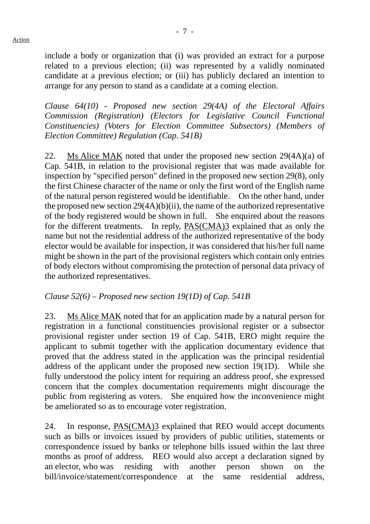include a body or organization that (i) was provided an extract for a purpose related to a previous election; (ii) was represented by a validly nominated candidate at a previous election; or (iii) has publicly declared an intention to arrange for any person to stand as a candidate at a coming election.

*Clause 64(10) - Proposed new section 29(4A) of the Electoral Affairs Commission (Registration) (Electors for Legislative Council Functional Constituencies) (Voters for Election Committee Subsectors) (Members of Election Committee) Regulation (Cap. 541B)*

22. Ms Alice MAK noted that under the proposed new section 29(4A)(a) of Cap. 541B, in relation to the provisional register that was made available for inspection by "specified person" defined in the proposed new section 29(8), only the first Chinese character of the name or only the first word of the English name of the natural person registered would be identifiable. On the other hand, under the proposed new section 29(4A)(b)(ii), the name of the authorized representative of the body registered would be shown in full. She enquired about the reasons for the different treatments. In reply, PAS(CMA)3 explained that as only the name but not the residential address of the authorized representative of the body elector would be available for inspection, it was considered that his/her full name might be shown in the part of the provisional registers which contain only entries of body electors without compromising the protection of personal data privacy of the authorized representatives.

#### *Clause 52(6) – Proposed new section 19(1D) of Cap. 541B*

23. Ms Alice MAK noted that for an application made by a natural person for registration in a functional constituencies provisional register or a subsector provisional register under section 19 of Cap. 541B, ERO might require the applicant to submit together with the application documentary evidence that proved that the address stated in the application was the principal residential address of the applicant under the proposed new section 19(1D). While she fully understood the policy intent for requiring an address proof, she expressed concern that the complex documentation requirements might discourage the public from registering as voters. She enquired how the inconvenience might be ameliorated so as to encourage voter registration.

24. In response, PAS(CMA)3 explained that REO would accept documents such as bills or invoices issued by providers of public utilities, statements or correspondence issued by banks or telephone bills issued within the last three months as proof of address. REO would also accept a declaration signed by an elector, who was residing with another person shown on the bill/invoice/statement/correspondence at the same residential address,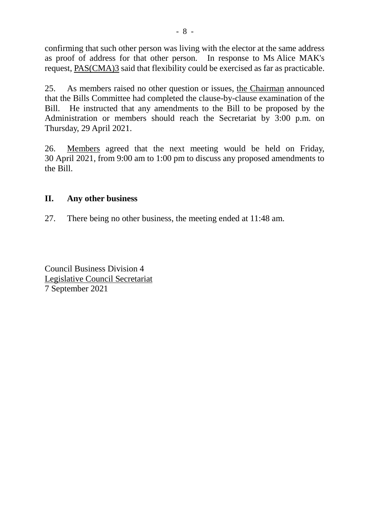confirming that such other person was living with the elector at the same address as proof of address for that other person. In response to Ms Alice MAK's request, PAS(CMA)3 said that flexibility could be exercised as far as practicable.

25. As members raised no other question or issues, the Chairman announced that the Bills Committee had completed the clause-by-clause examination of the Bill. He instructed that any amendments to the Bill to be proposed by the Administration or members should reach the Secretariat by 3:00 p.m. on Thursday, 29 April 2021.

26. Members agreed that the next meeting would be held on Friday, 30 April 2021, from 9:00 am to 1:00 pm to discuss any proposed amendments to the Bill.

#### **II. Any other business**

27. There being no other business, the meeting ended at 11:48 am.

Council Business Division 4 Legislative Council Secretariat 7 September 2021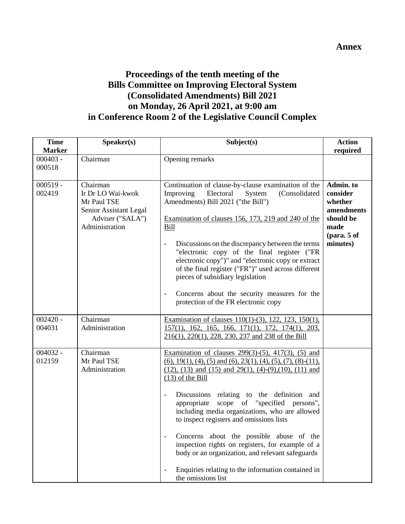#### **Annex**

#### **Proceedings of the tenth meeting of the Bills Committee on Improving Electoral System (Consolidated Amendments) Bill 2021 on Monday, 26 April 2021, at 9:00 am in Conference Room 2 of the Legislative Council Complex**

| <b>Time</b><br><b>Marker</b> | Speaker(s)                                                                                                   | Subject(s)                                                                                                                                                                                                                                                                                                                                                                                                                                                                                                                                                                                                                                                                                   | <b>Action</b><br>required                                                                          |
|------------------------------|--------------------------------------------------------------------------------------------------------------|----------------------------------------------------------------------------------------------------------------------------------------------------------------------------------------------------------------------------------------------------------------------------------------------------------------------------------------------------------------------------------------------------------------------------------------------------------------------------------------------------------------------------------------------------------------------------------------------------------------------------------------------------------------------------------------------|----------------------------------------------------------------------------------------------------|
| $000403 -$<br>000518         | Chairman                                                                                                     | Opening remarks                                                                                                                                                                                                                                                                                                                                                                                                                                                                                                                                                                                                                                                                              |                                                                                                    |
| $000519 -$<br>002419         | Chairman<br>Ir Dr LO Wai-kwok<br>Mr Paul TSE<br>Senior Assistant Legal<br>Adviser ("SALA")<br>Administration | Continuation of clause-by-clause examination of the<br>Improving<br>Electoral<br>(Consolidated<br>System<br>Amendments) Bill 2021 ("the Bill")<br>Examination of clauses 156, 173, 219 and 240 of the<br>Bill<br>Discussions on the discrepancy between the terms<br>$\overline{a}$<br>"electronic copy of the final register ("FR<br>electronic copy")" and "electronic copy or extract<br>of the final register ("FR")" used across different<br>pieces of subsidiary legislation<br>Concerns about the security measures for the<br>$\blacksquare$<br>protection of the FR electronic copy                                                                                                | Admin. to<br>consider<br>whether<br>amendments<br>should be<br>made<br>$1$ (para. 5 of<br>minutes) |
| $002420 -$<br>004031         | Chairman<br>Administration                                                                                   | Examination of clauses 110(1)-(3), 122, 123, 150(1),<br>157(1), 162, 165, 166, 171(1), 172, 174(1), 203,<br>216(1), 220(1), 228, 230, 237 and 238 of the Bill                                                                                                                                                                                                                                                                                                                                                                                                                                                                                                                                |                                                                                                    |
| $004032 -$<br>012159         | Chairman<br>Mr Paul TSE<br>Administration                                                                    | Examination of clauses $299(3)-(5)$ , $417(3)$ , $(5)$ and<br>$(6)$ , 19(1), (4), (5) and (6), 23(1), (4), (5), (7), (8)-(11),<br>$(12)$ , $(13)$ and $(15)$ and $29(1)$ , $(4)-(9)$ , $(10)$ , $(11)$ and<br>$(13)$ of the Bill<br>Discussions relating to the definition and<br>scope of "specified persons",<br>appropriate<br>including media organizations, who are allowed<br>to inspect registers and omissions lists<br>Concerns about the possible abuse of the<br>inspection rights on registers, for example of a<br>body or an organization, and relevant safeguards<br>Enquiries relating to the information contained in<br>$\qquad \qquad \blacksquare$<br>the omissions list |                                                                                                    |